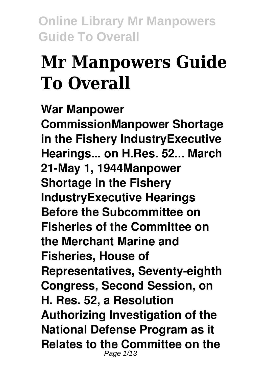# **Mr Manpowers Guide To Overall**

**War Manpower CommissionManpower Shortage in the Fishery IndustryExecutive Hearings... on H.Res. 52... March 21-May 1, 1944Manpower Shortage in the Fishery IndustryExecutive Hearings Before the Subcommittee on Fisheries of the Committee on the Merchant Marine and Fisheries, House of Representatives, Seventy-eighth Congress, Second Session, on H. Res. 52, a Resolution Authorizing Investigation of the National Defense Program as it Relates to the Committee on the** Page 1/13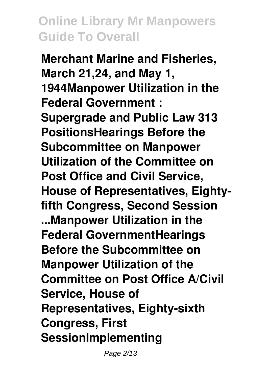**Merchant Marine and Fisheries, March 21,24, and May 1, 1944Manpower Utilization in the Federal Government : Supergrade and Public Law 313 PositionsHearings Before the Subcommittee on Manpower Utilization of the Committee on Post Office and Civil Service, House of Representatives, Eightyfifth Congress, Second Session ...Manpower Utilization in the Federal GovernmentHearings Before the Subcommittee on Manpower Utilization of the Committee on Post Office A/Civil Service, House of Representatives, Eighty-sixth Congress, First SessionImplementing**

Page 2/13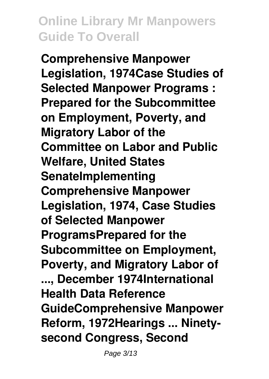**Comprehensive Manpower Legislation, 1974Case Studies of Selected Manpower Programs : Prepared for the Subcommittee on Employment, Poverty, and Migratory Labor of the Committee on Labor and Public Welfare, United States SenateImplementing Comprehensive Manpower Legislation, 1974, Case Studies of Selected Manpower ProgramsPrepared for the Subcommittee on Employment, Poverty, and Migratory Labor of ..., December 1974International Health Data Reference GuideComprehensive Manpower Reform, 1972Hearings ... Ninetysecond Congress, Second**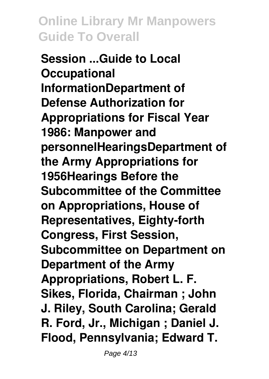**Session ...Guide to Local Occupational InformationDepartment of Defense Authorization for Appropriations for Fiscal Year 1986: Manpower and personnelHearingsDepartment of the Army Appropriations for 1956Hearings Before the Subcommittee of the Committee on Appropriations, House of Representatives, Eighty-forth Congress, First Session, Subcommittee on Department on Department of the Army Appropriations, Robert L. F. Sikes, Florida, Chairman ; John J. Riley, South Carolina; Gerald R. Ford, Jr., Michigan ; Daniel J. Flood, Pennsylvania; Edward T.**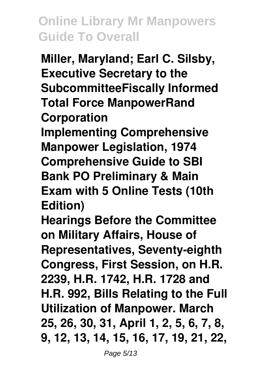**Miller, Maryland; Earl C. Silsby, Executive Secretary to the SubcommitteeFiscally Informed Total Force ManpowerRand Corporation Implementing Comprehensive Manpower Legislation, 1974 Comprehensive Guide to SBI Bank PO Preliminary & Main Exam with 5 Online Tests (10th Edition)**

**Hearings Before the Committee on Military Affairs, House of Representatives, Seventy-eighth Congress, First Session, on H.R. 2239, H.R. 1742, H.R. 1728 and H.R. 992, Bills Relating to the Full Utilization of Manpower. March 25, 26, 30, 31, April 1, 2, 5, 6, 7, 8, 9, 12, 13, 14, 15, 16, 17, 19, 21, 22,**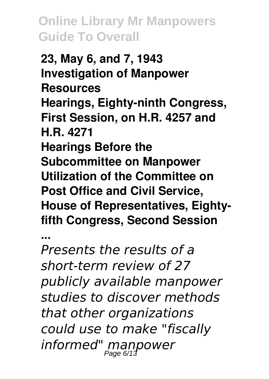**23, May 6, and 7, 1943 Investigation of Manpower Resources Hearings, Eighty-ninth Congress, First Session, on H.R. 4257 and H.R. 4271 Hearings Before the Subcommittee on Manpower Utilization of the Committee on Post Office and Civil Service, House of Representatives, Eightyfifth Congress, Second Session**

**...**

*Presents the results of a short-term review of 27 publicly available manpower studies to discover methods that other organizations could use to make "fiscally informed" manpower* Page 6/13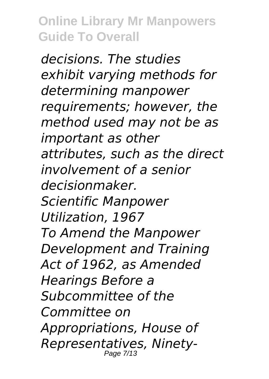*decisions. The studies exhibit varying methods for determining manpower requirements; however, the method used may not be as important as other attributes, such as the direct involvement of a senior decisionmaker. Scientific Manpower Utilization, 1967 To Amend the Manpower Development and Training Act of 1962, as Amended Hearings Before a Subcommittee of the Committee on Appropriations, House of Representatives, Ninety-*Page 7/13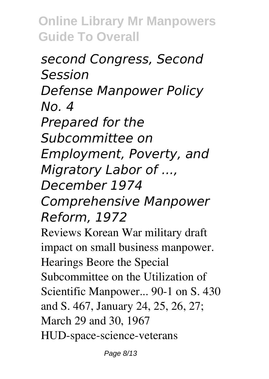*second Congress, Second Session Defense Manpower Policy No. 4 Prepared for the Subcommittee on Employment, Poverty, and Migratory Labor of ..., December 1974 Comprehensive Manpower Reform, 1972* Reviews Korean War military draft impact on small business manpower. Hearings Beore the Special

Subcommittee on the Utilization of Scientific Manpower... 90-1 on S. 430 and S. 467, January 24, 25, 26, 27; March 29 and 30, 1967 HUD-space-science-veterans

Page 8/13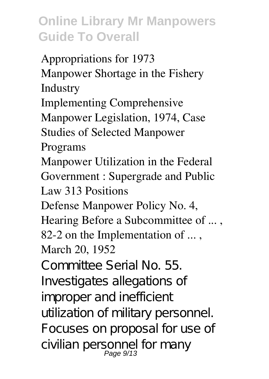Appropriations for 1973 Manpower Shortage in the Fishery Industry Implementing Comprehensive Manpower Legislation, 1974, Case Studies of Selected Manpower Programs Manpower Utilization in the Federal Government : Supergrade and Public Law 313 Positions Defense Manpower Policy No. 4, Hearing Before a Subcommittee of ... , 82-2 on the Implementation of ..., March 20, 1952 Committee Serial No. 55. Investigates allegations of improper and inefficient utilization of military personnel. Focuses on proposal for use of civilian personnel for many Page 9/13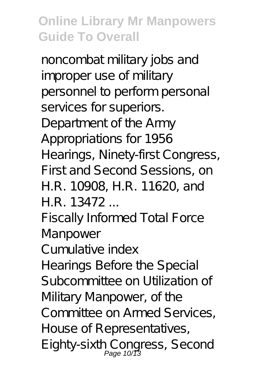noncombat military jobs and improper use of military personnel to perform personal services for superiors. Department of the Army Appropriations for 1956 Hearings, Ninety-first Congress, First and Second Sessions, on H.R. 10908, H.R. 11620, and H.R. 13472

Fiscally Informed Total Force Manpower

Cumulative index

Hearings Before the Special Subcommittee on Utilization of Military Manpower, of the Committee on Armed Services, House of Representatives, Eighty-sixth Congress, Second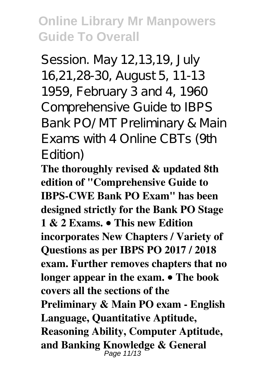Session. May 12,13,19, July 16,21,28-30, August 5, 11-13 1959, February 3 and 4, 1960 Comprehensive Guide to IBPS Bank PO/MT Preliminary & Main Exams with 4 Online CBTs (9th Edition)

**The thoroughly revised & updated 8th edition of "Comprehensive Guide to IBPS-CWE Bank PO Exam" has been designed strictly for the Bank PO Stage 1 & 2 Exams. • This new Edition incorporates New Chapters / Variety of Questions as per IBPS PO 2017 / 2018 exam. Further removes chapters that no longer appear in the exam. • The book covers all the sections of the Preliminary & Main PO exam - English Language, Quantitative Aptitude, Reasoning Ability, Computer Aptitude, and Banking Knowledge & General** Page 11/13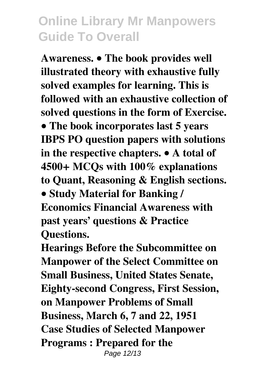**Awareness. • The book provides well illustrated theory with exhaustive fully solved examples for learning. This is followed with an exhaustive collection of solved questions in the form of Exercise. • The book incorporates last 5 years IBPS PO question papers with solutions in the respective chapters. • A total of 4500+ MCQs with 100% explanations to Quant, Reasoning & English sections. • Study Material for Banking / Economics Financial Awareness with past years' questions & Practice Questions.**

**Hearings Before the Subcommittee on Manpower of the Select Committee on Small Business, United States Senate, Eighty-second Congress, First Session, on Manpower Problems of Small Business, March 6, 7 and 22, 1951 Case Studies of Selected Manpower Programs : Prepared for the** Page 12/13